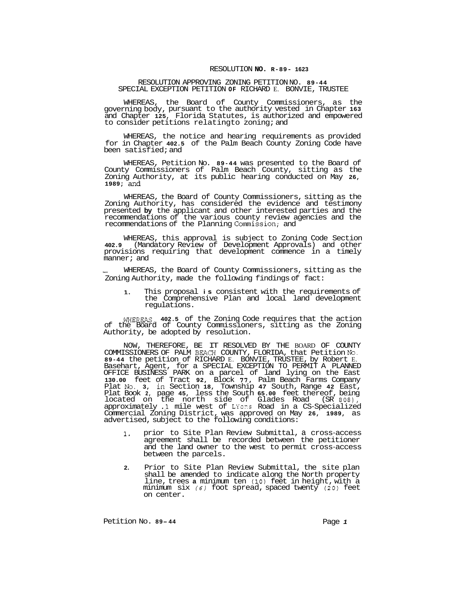## RESOLUTION **NO. R-89- 1623**

## RESOLUTION APPROVING ZONING PETITION NO. **89-44**  SPECIAL EXCEPTION PETITION **OF** RICHARD E. BONVIE, TRUSTEE

WHEREAS, the Board of County Commissioners, as the governing body, pursuant to the authority vested in Chapter **163**  and Chapter **125,** Florida Statutes, is authorized and empowered to consider petitions relatingto zoning; and

WHEREAS, the notice and hearing requirements as provided for in Chapter **402.5** of the Palm Beach County Zoning Code have been satisfied; and

WHEREAS, Petition No. **89-44** was presented to the Board of County Commissioners of Palm Beach County, sitting as the Zoning Authority, at its public hearing conducted on May **26, 1989;** and

WHEREAS, the Board of County Commissioners, sitting as the Zoning Authority, has considered the evidence and testimony presented **by** the applicant and other interested parties and the recommendations of the various county review agencies and the recommendations of the Planning Commission; and

WHEREAS, this approval is subject to Zoning Code Section **402.9** (Mandatory Review of Development Approvals) and other provisions requiring that development commence in a timely manner; and

WHEREAS, the Board of County Commissioners, sitting as the Zoning Authority, made the following findings of fact:

**1.** This proposal **is** consistent with the requirements of the Comprehensive Plan and local land development regulations.

WHEREAS, **402.5** of the Zoning Code requires that the action of the Board of County Commissioners, sitting as the Zoning Authority, be adopted by resolution.

COMMISSIONERS OF PALM BEACH COUNTY, FLORIDA, that Petition **No. 89-44** the petition of RICHARD E. BONVIE, TRUSTEE, by Robert E. Basehart, Agent, for a SPECIAL EXCEPTION TO PERMIT A PLANNED OFFICE BUSINESS PARK on a parcel of land lying on the East **130.00** feet of Tract **92,** Block *77,* Palm Beach Farms Company Plat No. **3,** in Section **18,** Township **47** South, Range **42** East, Plat Book **2,** page **45,** less the South **65.00** feet thereof, being located on the north side of Glades Road (SR *808),*  approximately .1 mile west of LYons Road in a CS-Specialized Commercial Zoning District, was approved on May **26, 1989,** as advertised, subject to the following conditions: NOW, THEREFORE, BE IT RESOLVED BY THE BOARD OF COUNTY

- **1.** prior to Site Plan Review Submittal, a cross-access agreement shall be recorded between the petitioner and the land owner to the west to permit cross-access between the parcels.
- **2.** Prior to Site Plan Review Submittal, the site plan shall be amended to indicate along the North property line, trees **a** minimum ten *(10)* feet in height, with a minimum six *(6)* foot spread, spaced twenty *(20)* feet on center.

Petition No. 89-44<br>Page 1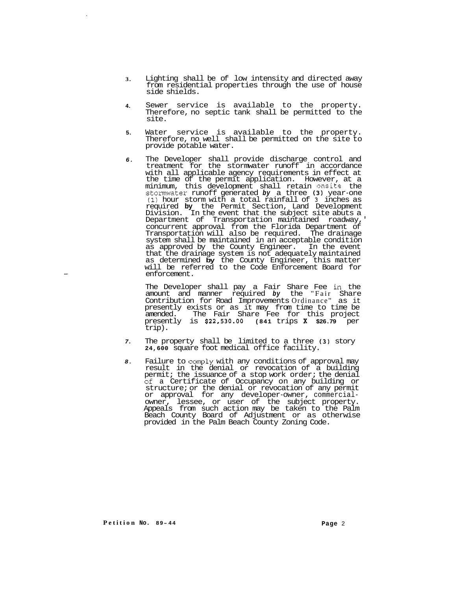- **3.**  Lighting shall be of low intensity and directed away from residential properties through the use of house side shields.
- **4.**  Sewer service is available to the property. Therefore, no septic tank shall be permitted to the site.
- **5.**  Water service is available to the property. Therefore, no well shall be permitted on the site to provide potable water.
- *6.*  The Developer shall provide discharge control and treatment for the stormwater runoff in accordance with all applicable agency requirements in effect at the time of the permit application. However, at a minimum, this development shall retain onsite the stomwater runoff generated *by* a three **(3)** year-one **(1)** hour storm with a total rainfall of **3** inches as required **by** the Permit Section, Land Development Division. In the event that the subject site abuts a Department of Transportation maintained roadway,' concurrent approval from the Florida Department of Transportation will also be required. The drainage system shall be maintained in an acceptable condition as approved by the County Engineer. In the event that the drainage system is not adequately maintained as determined **by** the County Engineer, this matter will be referred to the Code Enforcement Board for enforcement.

The Developer shall pay a Fair Share Fee in the amount and manner required *by* the " Fair Share Contribution for Road Improvements Ordinance " as it presently exists or as it may from time to time be The Fair Share Fee for this project presently is **\$22,530.00 (841** trips **x \$26.79** per trip).

- *7.*  The property shall be limited to a three **(3)** story **24,600** square foot medical office facility.
- *8.*  Failure to comply with any conditions of approval may result in the denial or revocation of a building permit; the issuance of a stop work order; the denial of a Certificate of Occupancy on any building or structure; or the denial or revocation of any permit or approval for any developer-owner, commercial- owner, lessee, or user of the subject property. Appeals from such action may be taken to the Palm Beach County Board of Adjustment or as otherwise provided in the Palm Beach County Zoning Code.

**Petition No. 8 9 - <sup>44</sup>Page** <sup>2</sup>